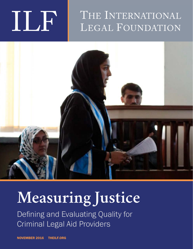# THE INTERNATIONAL



## **Measuring Justice**

Defining and Evaluating Quality for Criminal Legal Aid Providers

NOVEMBER 2016 THEILF.ORG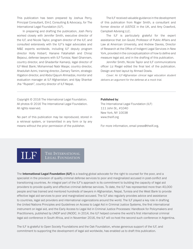This publication has been prepared by Joshua Perry, Principal Consultant, Elm1 Consulting & Advocacy, for The International Legal Foundation (ILF).

In preparing and drafting the publication, Josh Perry worked closely with Jennifer Smith, executive director of the ILF, and Nicole Taylor, program director of the ILF, and consulted extensively with the ILF's legal advocates and M&E experts worldwide, including ILF deputy program director Holly Hobart; Hanane Fatahallah and Chiraz Bejaoui, defense lawyers with ILF-Tunisia; Nael Ghannam, country director, and Ghadanfar Kamanji, legal director of ILF-West Bank; Mohammad Nabi Waqar, country director, Ahadullah Azimi, training director, Zamary Tamim, strategic litigation director, and Abdul Qayum Ahmadzai, monitor and evaluation manager at ILF-Afghanistan; and Ajay Shankar Jha "Rupesh", country director of ILF-Nepal.

The ILF received valuable guidance in the development of this publication from Roger Smith, a consultant and former director of JUSTICE in the UK, and Amy Crawford, Campbell Advising LLC.

The ILF is particularly grateful for the expert assistance that Jon Gould, Professor of Public Affairs and Law at American University, and Andrew Davies, Director of Research at the Office of Indigent Legal Services in New York, provided in the conceptualization of how to define and measure legal aid, and in the drafting of this publication.

Jennifer Smith, Nicole Taylor and ILF communications officer Liz Riegel edited the final text of the publication. Design and text layout by Ahmad Dowla.

Cover: An ILF-Afghanistan clinical legal education student delivers an argument for the defense at a mock trial.

Copyright © 2016 The International Legal Foundation. All photos © 2016 The International Legal Foundation. All rights reserved.

No part of this publication may be reproduced, stored in a retrieval system, or transmitted in any form or by any means without the prior permission of the publisher.

#### Published by:

The International Legal Foundation (ILF) 111 John St., #1040 New York, NY 10038 www.theilf.org

For more information, email press@theilf.org.

### THE INTERNATIONAL<br>LEGAL FOUNDATION

The International Legal Foundation (ILF) is a leading global advocate for the right to counsel for the poor, and a specialist in the provision of quality criminal defense services to poor and marginalized accused in post-conflict and transitioning countries. An integral part of the ILF's approach is its commitment to building the capacity of legal aid providers to provide quality and effective criminal defense services. To date, the ILF has represented more than 40,000 people and has trained and mentored hundreds of lawyers in Afghanistan, Nepal, Tunisia and the West Bank to provide effective legal aid services to poor and marginalized accused. The ILF also regularly provides advice and assistance to countries, legal aid providers and international organizations around the world. The ILF played a key role in drafting the United Nations Principles and Guidelines on Access to Legal Aid in Criminal Justice Systems, the first international instrument on legal aid, and the Early Access to Legal Aid in Criminal Justice Processes: Handbook for Policymakers and Practitioners, published by UNDP and UNODC. In 2014, the ILF helped convene the world's first international criminal legal aid conference in South Africa, and in November 2016, the ILF will co-host the second such conference in Argentina.

The ILF is grateful to Open Society Foundations and the Oak Foundation, whose generous support of the ILF, and commitment to supporting the development of legal aid worldwide, has enabled us to draft this publication.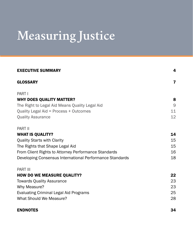## **Measuring Justice**

| <b>EXECUTIVE SUMMARY</b>                                 | 4              |
|----------------------------------------------------------|----------------|
| <b>GLOSSARY</b>                                          | 7              |
| PART I                                                   |                |
| <b>WHY DOES QUALITY MATTER?</b>                          | 8              |
| The Right to Legal Aid Means Quality Legal Aid           | $\overline{9}$ |
| Quality Legal Aid = Process + Outcomes                   | 11             |
| <b>Quality Assurance</b>                                 | 12             |
| <b>PART II</b>                                           |                |
| <b>WHAT IS QUALITY?</b>                                  | 14             |
| <b>Quality Starts with Clarity</b>                       | 15             |
| The Rights that Shape Legal Aid                          | 15             |
| From Client Rights to Attorney Performance Standards     | 16             |
| Developing Consensus International Performance Standards | 18             |
| <b>PART III</b>                                          |                |
| <b>HOW DO WE MEASURE QUALITY?</b>                        | 22             |
| <b>Towards Quality Assurance</b>                         | 23             |
| Why Measure?                                             | 23             |
| <b>Evaluating Criminal Legal Aid Programs</b>            | 25             |
| <b>What Should We Measure?</b>                           | 28             |
| <b>ENDNOTES</b>                                          | 34             |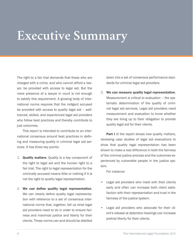### **Executive Summary**

The right to a fair trial demands that those who are charged with a crime, and who cannot afford a lawyer, be provided with access to legal aid. But the mere presence of a lawyer in court is not enough to satisfy this requirement. A growing body of international norms requires that the indigent accused be provided with access to *quality* legal aid – welltrained, skilled, and experienced legal aid providers who follow best practices and thereby contribute to just outcomes.

This report is intended to contribute to an international consensus around best practices in defining and measuring quality in criminal legal aid services. It has three key points:

- 1. **Quality matters**. Quality is a key component of the right to legal aid and the human right to a fair trial. The right to legal representation for the criminally accused means little or nothing if it is not the right to quality legal representation.
- 2. We can define quality legal representation. We can clearly define quality legal representation with reference to a set of consensus international norms that, together, tell us what legal aid providers need to do in order to ensure fairness and maximize justice and liberty for their clients. Those norms can and should be distilled

down into a set of consensus performance standards for criminal legal aid providers.

3. We can measure quality legal representation. Measurement is critical to evaluation – the systematic determination of the quality of criminal legal aid services. Legal aid providers need measurement and evaluation to know whether they are living up to their obligation to provide quality legal aid for their clients.

**Part I** of the report shows how quality matters, reviewing case studies of legal aid evaluations to show that quality legal representation has been shown to make a real difference in both the fairness of the criminal justice process and the outcomes experienced by vulnerable people in the justice system.

For instance:

- Legal aid providers who meet with their clients early and often can increase both client satisfaction with their representation and trust in the fairness of the justice system.
- Legal aid providers who advocate for their client's release at detention hearings can increase pretrial liberty for their clients.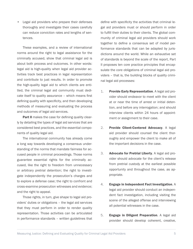• Legal aid providers who prepare their defenses thoroughly and investigate their cases carefully can reduce conviction rates and lengths of sentences.

These examples, and a review of international norms around the right to legal assistance for the criminally accused, show that criminal legal aid is about both process and outcomes. In other words: legal aid is high-quality when legal aid provider activities track best practices in legal representation and contribute to just results. In order to promote the high-quality legal aid to which clients are entitled, the criminal legal aid community must dedicate itself to quality assurance – which means first defining quality with specificity, and then developing methods of measuring and evaluating the process and outcomes of legal aid services.

**Part II** makes the case for defining quality clearly by detailing the types of legal aid services that are considered best practices, and the essential components of quality legal aid.

The international community has already come a long way towards developing a consensus understanding of the norms that mandate fairness for accused people in criminal proceedings. Those norms guarantee essential rights for the criminally accused, like the right to freedom from unnecessary or arbitrary pretrial detention; the right to investigate independently the prosecution's charges and to explore a defense case; the right to confront and cross-examine prosecution witnesses and evidence; and the right to appeal.

Those rights, in turn, give shape to legal aid providers' duties or obligations – the legal aid services that they must perform in order to render quality representation. Those activities can be articulated in performance standards – written guidelines that

define with specificity the activities that criminal legal aid providers must or should perform in order to fulfill their duties to their clients. The global community of criminal legal aid providers should work together to define a consensus set of model performance standards that can be adapted by jurisdictions around the world. While an exhaustive set of standards is beyond the scale of the report, Part II proposes ten core practice principles that encapsulate the core obligations of criminal legal aid providers – that is, the building blocks of quality criminal legal aid processes:

- 1. Provide Early Representation. A legal aid provider should endeavor to meet with the client at or near the time of arrest or initial detention, and before any interrogation; and should interview clients within 24 hours of appointment or assignment to their case.
- 2. Provide Client-Centered Advocacy. A legal aid provider should counsel the client thoroughly and empower the client to make all of the important decisions in the case.
- 3. Advocate for Pretrial Liberty. A legal aid provider should advocate for the client's release from pretrial custody at the earliest possible opportunity and throughout the case, as appropriate.
- 4. Engage in Independent Fact Investigation. A legal aid provider should conduct an independent fact investigation, including visiting the scene of the alleged offense and interviewing all potential witnesses in the case.
- 5. **Engage in Diligent Preparation**. A legal aid provider should develop coherent, creative,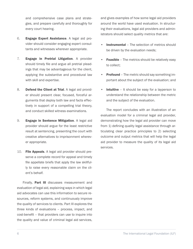and comprehensive case plans and strategies, and prepare carefully and thoroughly for every court hearing.

- 6. Engage Expert Assistance. A legal aid provider should consider engaging expert consultants and witnesses wherever appropriate.
- 7. Engage in Pretrial Litigation. A provider should timely file and argue all pretrial pleadings that may be advantageous for the client, applying the substantive and procedural law with skill and expertise.
- 8. Defend the Client at Trial. A legal aid provider should present clear, focused, forceful arguments that deploy both law and facts effectively in support of a compelling trial theory, and conduct skilled witness examinations.
- 9. **Engage in Sentence Mitigation.** A legal aid provider should argue for the least restrictive result at sentencing, presenting the court with creative alternatives to imprisonment wherever appropriate.
- 10. File Appeals. A legal aid provider should preserve a complete record for appeal and timely file appellate briefs that apply the law skillfully to raise every reasonable claim on the client's behalf.

Finally, **Part III** discusses measurement and evaluation of legal aid, explaining ways in which legal aid advocates can use this information to secure resources, reform systems, and continuously improve the quality of services to clients. Part III explores the three kinds of evaluations – process, impact, and cost-benefit – that providers can use to inquire into the quality and value of criminal legal aid services,

and gives examples of how some legal aid providers around the world have used evaluation. In structuring their evaluations, legal aid providers and administrators should select quality metrics that are:

- Instrumental The selection of metrics should be driven by the evaluation needs;
- **Feasible** The metrics should be relatively easy to collect;
- Profound The metric should say something important about the subject of the evaluation; and
- Intuitive It should be easy for a layperson to understand the relationship between the metric and the subject of the evaluation.

The report concludes with an illustration of an evaluation model for a criminal legal aid provider, demonstrating how the legal aid provider can move from 1) defining quality legal assistance through articulating clear practice principles to 2) selecting outcome and output metrics that will help the legal aid provider to measure the quality of its legal aid services.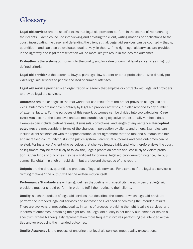### **Glossary**

Legal aid services are the specific tasks that legal aid providers perform in the course of representing their clients. Examples include interviewing and advising the client, writing motions or applications to the court, investigating the case, and defending the client at trial. Legal aid services can be counted – that is, quantified – and can also be evaluated qualitatively. In theory, if the right legal aid services are provided in the right way, the legal representation will be more likely to result in the desired outcomes.<sup>1</sup>

**Evaluation** is the systematic inquiry into the quality and/or value of criminal legal aid services in light of defined criteria.

Legal aid provider is the person-a lawyer, paralegal, law student or other professional-who directly provides legal aid services to people accused of criminal offenses.

Legal aid service provider is an organization or agency that employs or contracts with legal aid providers to provide legal aid services.

**Outcomes** are the changes in the real world that can result from the proper provision of legal aid services. Outcomes are not driven entirely by legal aid provider activities, but also respond to any number of external factors. For the purposes of this report, outcomes can be divided into two categories. Case outcomes occur at the case level and are measurable using objective and externally-verifiable data. Examples can include pretrial release, dismissals, convictions, and length of any sentence. Perceptual **outcomes** are measurable in terms of the changes in perception by clients and others. Examples can include client satisfaction with the representation, client agreement that the trial and outcome was fair, and increased community trust in the justice system. Perceptual outcomes and case outcomes can be related. For instance: A client who perceives that she was treated fairly and who therefore views the court as legitimate may be more likely to follow the judge's probation orders and less likely to violate probation.<sup>2</sup> Other kinds of outcomes may be significant for criminal legal aid providers–for instance, life outcomes like obtaining a job or recidivism–but are beyond the scope of this report.

**Outputs** are the direct, quantifiable products of legal aid services. For example: If the legal aid service is "writing motions," the output will be the written motion itself.

**Performance Standards** are written guidelines that define with specificity the activities that legal aid providers must or should perform in order to fulfill their duties to their clients.

**Quality** is a characteristic of legal aid services that describes the extent to which legal aid providers perform the intended legal aid services and increase the likelihood of achieving the intended results. There are two ways of measuring quality: In terms of process–providing the right legal aid services–and in terms of outcomes–obtaining the right results. Legal aid quality is not binary but instead exists on a spectrum, where higher-quality representation more frequently involves performing the intended activities and/or producing the intended outcomes.

**Quality Assurance** is the process of ensuring that legal aid services meet quality expectations.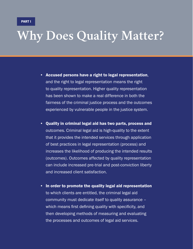### **Why Does Quality Matter?**

- Accused persons have a right to legal representation, and the right to legal representation means the right to quality representation. Higher quality representation has been shown to make a real difference in both the fairness of the criminal justice process and the outcomes experienced by vulnerable people in the justice system.
- Quality in criminal legal aid has two parts, process and outcomes. Criminal legal aid is high-quality to the extent that it provides the intended services through application of best practices in legal representation (process) and increases the likelihood of producing the intended results (outcomes). Outcomes affected by quality representation can include increased pre-trial and post-conviction liberty and increased client satisfaction.
- In order to promote the quality legal aid representation to which clients are entitled, the criminal legal aid community must dedicate itself to quality assurance – which means first defining quality with specificity, and then developing methods of measuring and evaluating the processes and outcomes of legal aid services.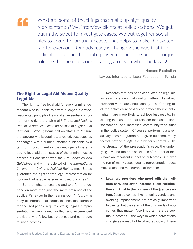

What are some of the things that make up high-quality representation? We interview clients at police stations. We get out in the street to investigate cases. We put together social files to argue for pretrial release. That helps to make the system fair for everyone. Our advocacy is changing the way that the judicial police and the public prosecutor act. The prosecutor just told me that he reads our pleadings to learn what the law is!

> Hanane Fatahallah Lawyer, International Legal Foundation – Tunisia

#### The Right to Legal Aid Means Quality Legal Aid

The right to free legal aid for every criminal defendant who is unable to afford a lawyer is a widely-accepted principle of law and an essential component of the right to a fair trial.3 The *United Nations Principles and Guidelines on Access to Legal Aid in Criminal Justice Systems* call on States to "ensure that anyone who is detained, arrested, suspected of, or charged with a criminal offence punishable by a term of imprisonment or the death penalty is entitled to legal aid at all stages of the criminal justice process."4 Consistent with the *UN Principles and Guidelines* and with article 14 of the *International Covenant on Civil and Political Rights*, most States guarantee the right to free legal representation for poor and vulnerable persons accused of crimes.<sup>5</sup>

But the rights to legal aid and to a fair trial depend on more than just "the mere presence of the applicant's lawyer in the hearing room."6 A growing body of international norms teaches that fairness for accused people requires *quality* legal aid representation – well-trained, skilled, and experienced providers who follow best practices and contribute to just outcomes.

Research that has been conducted on legal aid increasingly shows that quality matters.<sup>7</sup> Legal aid providers who care about quality – performing all of the activities necessary to protect their clients' rights – are more likely to achieve just results, including increased pretrial release; increased client satisfaction; and increased community-wide trust in the justice system. Of course, performing a given activity does not guarantee a given outcome. Many factors beyond a legal aid provider's control – like the strength of the prosecution's case, the underlying law, and the predispositions of the trier of fact – have an important impact on outcomes. But, over the run of many cases, quality representation does make a real and measurable difference:

• Legal aid providers who meet with their clients early and often increase client satisfaction and trust in the fairness of the justice system. Case outcomes-like not-guilty verdicts and avoiding imprisonment–are critically important to clients, but they are not the only kinds of outcomes that matter. Also important are perceptual outcomes – the ways in which perceptions change as a result of legal aid advocacy. These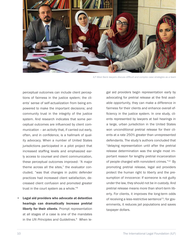

*ILF-West Bank lawyers discuss difficult and complex case strategies as a team*

perceptual outcomes can include client perceptions of fairness in the justice system; the clients' sense of self-actualization from being empowered to make the important decisions; and community trust in the integrity of the justice system. And research indicates that some perceptual outcomes are influenced by client communication – an activity that, if carried out early, often, and in confidence, is a hallmark of quality advocacy. When a number of United States jurisdictions participated in a pilot project that increased staffing levels and emphasized early access to counsel and client communication, these perceptual outcomes improved: "A major theme across all the sites," the evaluator concluded, "was that changes in public defender practices had increased client satisfaction, decreased client confusion and promoted greater trust in the court system as a whole."8

Legal aid providers who advocate at detention hearings can dramatically increase pretrial liberty for their clients. Prompt representation at all stages of a case is one of the mandates in the *UN Principles and Guidelines*. 9 When legal aid providers begin representation early by advocating for pretrial release at the first available opportunity, they can make a difference in fairness for their clients and enhance overall efficiency in the justice system. In one study, clients represented by lawyers at bail hearings in a large, urban jurisdiction in the United States won unconditional pretrial release for their clients at a rate 250% greater than unrepresented defendants. The study's authors concluded that "delaying representation until after the pretrial release determination was the single most important reason for lengthy pretrial incarceration of people charged with nonviolent crimes."10 By promoting pretrial release, legal aid providers protect the human right to liberty and the presumption of innocence: If someone is not guilty under the law, they should not be in custody. And pretrial release means more than short-term liberty. For clients, it improves the long-term odds of receiving a less-restrictive sentence<sup>11</sup>; for governments, it reduces jail populations and saves taxpayer dollars.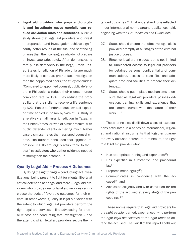Legal aid providers who prepare thoroughly and investigate cases carefully can reduce conviction rates and sentences. A 2013 study shows that legal aid providers who invest in preparation and investigation achieve significantly better results at the trial and sentencing phases than their colleagues who do not prepare or investigate adequately. After demonstrating that public defenders in the large, urban United States jurisdiction of Philadelphia are much more likely to conduct pretrial fact investigation than their appointed peers, the study concludes: "Compared to appointed counsel, public defenders in Philadelphia reduce their clients' murder conviction rate by 19%. They reduce the probability that their clients receive a life sentence by 62%. Public defenders reduce overall expected time served in prison by 24%."<sup>12</sup> A study in a relatively small, rural jurisdiction in Texas, in the United States, arrived at similar results, with public defender clients achieving much higher case dismissal rates than assigned counsel clients. The authors concluded that "[t]hese impressive results are largely attributable to the… staff investigators who gather evidence needed to strengthen the defense."<sup>13</sup>

#### Quality Legal Aid = Process + Outcomes

By doing the right things – conducting fact investigations, being present to fight for clients' liberty at critical detention hearings, and more – legal aid providers who provide quality legal aid services can increase the odds of favorable outcomes for their clients. In other words: Quality in legal aid varies with the extent to which legal aid providers perform the right legal aid services – like advocating for pretrial release and conducting fact investigation – and the extent to which legal aid providers secure the intended outcomes.<sup>14</sup> That understanding is reflected in our international norms around quality legal aid, beginning with the *UN Principles and Guidelines*:

- 27. States should ensure that effective legal aid is provided promptly at all stages of the criminal justice process.
- 28. Effective legal aid includes, but is not limited to, unhindered access to legal aid providers for detained persons, confidentiality of communications, access to case files and adequate time and facilities to prepare their defence.…
- 37. States should put in place mechanisms to ensure that all legal aid providers possess education, training, skills and experience that are commensurate with the nature of their work.…15

These principles distill down a set of expectations articulated in a series of international, regional, and national instruments that together guarantee every accused person, at a minimum, the right to a legal aid provider who:

- Has appropriate training and experience<sup>16</sup>;
- Has expertise in substantive and procedural  $law<sup>17</sup>$ ;
- Prepares meaningfully<sup>18</sup>;
- Communicates in confidence with the accused $19$ ; and
- Advocates diligently and with conviction for the rights of the accused at every stage of the proceedings.20

These norms require that legal aid providers be the *right people*–trained, experienced–who perform the *right legal aid services* at the *right times* to defend the accused. The Part II of this report spells out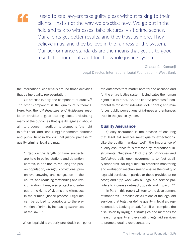

I used to see lawyers take guilty pleas without talking to their clients. That's not the way we practice now. We go out in the field and talk to witnesses, take pictures, visit crime scenes. Our clients get better results, and they trust us more. They believe in us, and they believe in the fairness of the system. Our performance standards are the means that get us to good results for our clients and for the whole justice system.

> Ghadanfar Kamanji Legal Director, International Legal Foundation – West Bank

the international consensus around those activities that define quality representation.

But process is only one component of quality.<sup>21</sup> The other component is the quality of outcomes. Here, too, the *UN Principles and Guidelines* resolution provides a good starting place, articulating many of the outcomes that quality legal aid should aim to produce. In addition to promoting "the right to a fair trial" and "ensur[ing] fundamental fairness and public trust in the criminal justice process,"<sup>22</sup> quality criminal legal aid may:

"[R]educe the length of time suspects are held in police stations and detention centres, in addition to reducing the prison population, wrongful convictions, prison overcrowding and congestion in the courts, and reducing reoffending and revictimization. It may also protect and safeguard the rights of victims and witnesses in the criminal justice process. Legal aid can be utilized to contribute to the prevention of crime by increasing awareness of the law."23

When legal aid is properly provided, it can gener-

ate outcomes that matter both for the accused and for the entire justice system. It vindicates the human rights to a fair trial, life, and liberty; promotes fundamental fairness for individual defendants; and reinforces public perceptions of fairness and enhances trust in the justice system.

#### Quality Assurance

Quality assurance is the process of ensuring that legal aid services meet quality expectations. Like the quality mandate itself, "the importance of quality assurance"<sup>24</sup> is stressed by international instruments. Guideline 16 of the *UN Principles and Guidelines* calls upon governments to "set quality standards" for legal aid; "to establish monitoring and evaluation mechanisms to ensure the quality of legal aid services, in particular those provided at no cost"; and "[t]o work with all legal aid service providers to increase outreach, quality and impact…"25

In Part II, this report will turn to the development of standards – detailed articulations of the legal aid services that together define quality in legal aid representation. Looking ahead, Part III will complete the discussion by laying out strategies and methods for measuring quality and evaluating legal aid services to promote quality representation.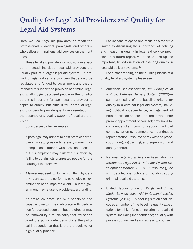### **Quality for Legal Aid Providers and Quality for Legal Aid Systems**

Here, we use "legal aid providers" to mean the professionals – lawyers, paralegals, and others – who deliver criminal legal aid services on the front lines.

These legal aid providers do not work in a vacuum. Instead, individual legal aid providers are usually part of a larger legal aid system – a network of legal aid service providers that should be regulated and funded by government and that is intended to support the provision of criminal legal aid to all indigent accused people in the jurisdiction. It is important for each legal aid provider to aspire to quality, but difficult for individual legal aid providers to provide quality representation in the absence of a quality *system* of legal aid provision.

Consider just a few examples:

- A paralegal may adhere to best-practices standards by setting aside time every morning for prompt consultations with new detainees – but his employer may frustrate his effort by failing to obtain lists of arrested people for the paralegal to interview.
- A lawyer may seek to do the right thing by identifying an expert to perform a psychological examination of an impaired client – but the government may refuse to provide expert funding.
- An entire law office, led by a principled and capable director, may advocate with dedication for accused people – but the director may be removed by a municipality that refuses to grant the public defender's office the political independence that is the prerequisite for high-quality practice.

For reasons of space and focus, this report is limited to discussing the importance of defining and measuring quality in legal aid service provision. In a future report, we hope to take up the important, linked question of assuring quality in legal aid delivery systems.26

For further reading on the building blocks of a quality legal aid system, please see:

- American Bar Association, *Ten Principles of a Public Defense Delivery System* (2002)–A summary listing of the baseline criteria for quality in a criminal legal aid system, including political independence; engagement of both public defenders and the private bar; prompt appointment of counsel; provisions for confidential client communications; workload controls; attorney competency; continuous representation; resource parity with the prosecution; ongoing training; and supervision and quality control.
- National Legal Aid & Defender Association, *International Legal Aid & Defender System Development Manual* (2010) – A resource guide with detailed instructions on building strong criminal legal aid systems.
- United Nations Office on Drugs and Crime, *Model Law on Legal Aid in Criminal Justice Systems* (2016) – Model legislation that encodes a number of the baseline quality expectations for a high-functioning criminal legal aid system, including independence; equality with private counsel; and early access to counsel.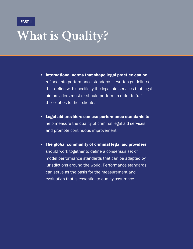### **What is Quality?**

- International norms that shape legal practice can be refined into performance standards – written guidelines that define with specificity the legal aid services that legal aid providers must or should perform in order to fulfill their duties to their clients.
- Legal aid providers can use performance standards to help measure the quality of criminal legal aid services and promote continuous improvement.
- The global community of criminal legal aid providers should work together to define a consensus set of model performance standards that can be adapted by jurisdictions around the world. Performance standards can serve as the basis for the measurement and evaluation that is essential to quality assurance.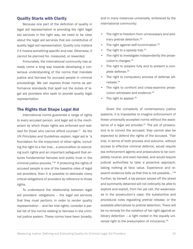#### Quality Starts with Clarity

Because one part of the definition of quality in legal aid representation is providing the right legal aid services in the right way, we need to be clear about the legal aid services that are constitutive of quality legal aid representation. Quality only matters if it means something specific and real. Otherwise, it cannot be planned for, measured, or rewarded.

Fortunately, the international community has already come a long way towards developing a consensus understanding of the norms that mandate justice and fairness for accused people in criminal proceedings. We can express those norms as performance standards that spell out the duties of legal aid providers who seek to provide quality legal representation.

#### The Rights that Shape Legal Aid

International norms guarantee a range of rights to every accused person, and legal aid is the mechanism by which those rights are enforced and realized for those who cannot afford counsel. $27$  As the *UN Principles and Guidelines* explain, legal aid is "a foundation for the enjoyment of other rights, including the right to a fair trial… a precondition to exercising such rights and an important safeguard that ensures fundamental fairness and public trust in the criminal justice process."28 If protecting the rights of accused people is one of the baseline roles of legal aid providers, then it is possible to delineate many critical obligations of providers by reference to those rights.

To understand the relationship between legal aid providers' obligations – the legal aid services that they must perform, in order to render quality representation – and fair trial rights, consider a partial list of the norms relating to fairness in the criminal justice system. These norms have been broadly, and in many instances universally, embraced by the international community:

- The right to freedom from unnecessary and arbitrary pretrial detention.29
- The right against self-incrimination.<sup>30</sup>
- The right to a speedy trial. $31$
- The right to investigate independently the prosecution's charges.<sup>32</sup>
- The right to prepare fully and to present a complete defense.<sup>33</sup>
- The right to compulsory process of defense witnesses.34
- The right to confront and cross-examine prosecution witnesses and evidence.35
- The right to appeal. $36$

Given the complexity of contemporary justice systems, it is impossible to imagine enforcement of these universally-accepted norms without the assistance of a legal aid provider. $37$  The job of prosecutors is to convict the accused; they cannot also be expected to defend the rights of the accused. "Fair trial, in terms of both process and outcome, without access to effective criminal defence, would require law enforcement agents and prosecutors to be completely neutral, and even-handed, and would require judicial authorities to take a proactive approach, taking nothing at face value. Experience and research evidence tells us that this is not possible..."<sup>38</sup> Further, by herself, a lay-person seized off the street and summarily detained will not ordinarily be able to explore and exploit, from her jail cell, the weaknesses in the prosecution's case; the substantive and procedural rules regulating pretrial release; or the available alternatives to pretrial detention. There will be no remedy for the violation of her right against arbitrary detention – a right rooted in the equally universal right to the presumption of innocence.39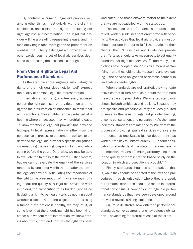By contrast, a criminal legal aid provider will, among other things, meet quickly with the client in confidence, and explain her rights – including her right against self-incrimination. The legal aid provider will file a pleading requesting release, and immediately begin fact investigation to prepare for an eventual trial. The quality legal aid provider will, in other words, begin a set of legal aid services dedicated to protecting the accused's core rights.

#### From Client Rights to Legal Aid Performance Standards

As the example above suggests, articulating the rights of the individual does not, by itself, express the quality of criminal legal aid representation.

International norms guarantee every accused person the right against arbitrary detention and the right to the presumption of innocence. In most if not all jurisdictions, those rights can be protected at a hearing where an accused may win pretrial release. To know whether a legal aid provider has provided high-quality legal representation – either from the perspective of process or outcomes – we have to understand the legal aid provider's specific obligations in demanding the hearing, preparing for it, and advocating before the court. Otherwise, we may be able to evaluate the fairness of the overall justice system, but we cannot evaluate the quality of the services rendered by one actor within that broader system – the legal aid provider. Articulating the importance of the right to the presumption of innocence says nothing about the quality of a legal aid provider's work in holding the prosecution to its burden, just as articulating a right to be healthy tells us nothing about whether a doctor has done a good job in excising a tumor. If the patient is healthy, we may intuit, at some level, that the underlying right has been vindicated; but, without more information, we know nothing about *why*, *how*, and *how well* the right has been vindicated. And those answers matter to the extent that we are not satisfied with the status quo.

The solution is performance standards – detailed, written guidelines that enumerate with specificity the activities that legal aid providers must or should perform in order to fulfill their duties to their clients. The UN Principles and Guidelines provide that "[s]tates should take measures… to set quality standards for legal aid services,"<sup>40</sup> and many jurisdictions have adopted standards as a means of clarifying – and thus, ultimately, measuring and evaluating – the specific obligations of defense counsel in vindicating clients' rights.

When standards are well-crafted, they mandate activities that in turn produce outputs that are both measurable and predictable. Well-crafted standards should be both ambitious and realistic. Because they are specific and prescriptive, they are ideally suited to serve as the basis for legal aid provider training, ongoing consultation, and guidance. $41$  As the name indicates, standards are intended to *standardize* the process of providing legal aid services – they are, in that sense, as one State's justice department has written, "the key to uniform quality… [U]niform application of standards at the state or national level is an important means of limiting arbitrary disparities in the quality of representation based solely on the location in which a prosecution is brought."42

Finally, standards should be authoritative – that is, while they should be adapted to the laws and procedures in each jurisdiction where they are used, performance standards should be rooted in international consensus. A comparison of legal aid performance standards that have been developed around the world reveals striking similarities.

*Figure 2* illustrates how different performance standards converge around one key defense obligation – advocating for pretrial release of the client.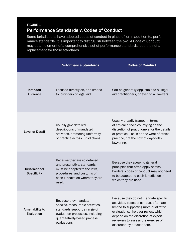#### FIGURE 1 Performance Standards v. Codes of Conduct

Some jurisdictions have adopted codes of conduct in place of, or in addition to, performance standards. It is important to distinguish between the two. A Code of Conduct may be an element of a comprehensive set of performance standards, but it is not a replacement for those standards.

|                                             | <b>Performance Standards</b>                                                                                                                                                | <b>Codes of Conduct</b>                                                                                                                                                                                                                                                       |
|---------------------------------------------|-----------------------------------------------------------------------------------------------------------------------------------------------------------------------------|-------------------------------------------------------------------------------------------------------------------------------------------------------------------------------------------------------------------------------------------------------------------------------|
| Intended<br><b>Audience</b>                 | Focused directly on, and limited<br>to, providers of legal aid.                                                                                                             | Can be generally applicable to all legal<br>aid practitioners, or even to all lawyers.                                                                                                                                                                                        |
| <b>Level of Detail</b>                      | Usually give detailed<br>descriptions of mandated<br>activities, promoting uniformity<br>of practice across jurisdictions.                                                  | Usually broadly-framed in terms<br>of ethical principles, relying on the<br>discretion of practitioners for the details<br>of practice. Focus on the what of ethical<br>practice, not the how of day-to-day<br>lawyering.                                                     |
| <b>Jurisdictional</b><br><b>Specificity</b> | Because they are so detailed<br>and prescriptive, standards<br>must be adapted to the laws,<br>procedures, and customs of<br>each jurisdiction where they are<br>used.      | Because they speak to general<br>principles that often apply across<br>borders, codes of conduct may not need<br>to be adapted to each jurisdiction in<br>which they are used.                                                                                                |
| Amenability to<br><b>Evaluation</b>         | Because they mandate<br>specific, measurable activities,<br>standards support a range of<br>evaluation processes, including<br>quantitatively-based process<br>evaluations. | Because they do not mandate specific<br>activities, codes of conduct often are<br>limited to supporting more qualitative<br>evaluations, like peer review, which<br>depend on the discretion of expert<br>reviewers to assess the exercise of<br>discretion by practitioners. |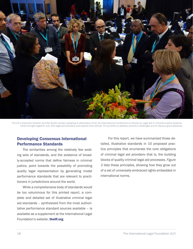

*The ILF's Executive Director Jennifer Smith (center) speaking to attendees of the 1st International Conference on Access to Legal Aid in Criminal Justice Systems, which brought together over 250 legal aid providers and experts from almost 70 countries to address common challenges and to discuss good practices*

#### Developing Consensus International Performance Standards

The similarities among the relatively few existing sets of standards, and the existence of broadly-accepted norms that define fairness in criminal justice, point towards the possibility of promoting quality legal representation by generating model performance standards that are relevant to practitioners in jurisdictions around the world.

While a comprehensive body of standards would be too voluminous for this printed report, a complete and detailed set of illustrative criminal legal aid standards – synthesized from the most authoritative performance standard sources available – is available as a supplement at the International Legal Foundation's website: [theilf.org](http://theilf.org).

 For this report, we have summarized those detailed, illustrative standards in 10 proposed practice principles that enumerate the core obligations of criminal legal aid providers–that is, the building blocks of quality criminal legal aid processes. *Figure 3* lists these principles, showing how they grow out of a set of universally-embraced rights embedded in international norms.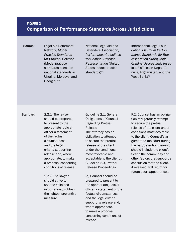#### FIGURE 2 Comparison of Performance Standards Across Jurisdictions

Source Legal Aid Reformers' Network, *Model Practice Standards for Criminal Defense* (Model practice standards based on national standards in Ukraine, Moldova, and Georgia)  $43$ 

National Legal Aid and Defenders Association, *Performance Guidelines for Criminal Defense Representation* (United States model practice standards $)^{44}$ 

International Legal Foundation, *Minimum Performance Standards for Representation During Initial Criminal Proceedings* (used in ILF offices in Nepal, Tunisia, Afghanistan, and the West Bank $)^{45}$ 

Standard 2.2.1. The lawyer should be prepared to present to the appropriate judicial officer a statement of the factual circumstances and the legal criteria supporting release and, where appropriate, to make a proposal concerning conditions of release…

> 2.2.7. The lawyer should strive to use the collected information to obtain the lightest preventive measure.

Guideline 2.1, General Obligations of Counsel Regarding Pretrial Release The attorney has an obligation to attempt to secure the pretrial release of the client under the conditions most favorable and acceptable to the client… Guideline 2.3, Pretrial Release Proceedings

(a) Counsel should be prepared to present to the appropriate judicial officer a statement of the factual circumstances and the legal criteria supporting release and, where appropriate, to make a proposal concerning conditions of release.

P.2: Counsel has an obligation to vigorously attempt to secure the pretrial release of the client under conditions most desirable to the client. Counsel's argument to the court during the bail/detention hearing should include the client's ties to the community and other factors that support a conclusion that the client, if released, will return for future court appearances.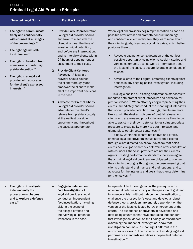#### FIGURE 3 Criminal Legal Aid Practice Principles

#### Selected Legal Norms **Practice Principles Properties According Discussion**

- The right to communicate freely and confidentially with counsel at all stages of the proceedings. 46
- The right against selfincrimination.<sup>47</sup>
- The right to freedom from unnecessary or arbitrary pretrial detention.<sup>48</sup>
- The right to a legal aid provider who advocates for the client's expressed interests.<sup>49</sup>
- 1. Provide Early Representation - A legal aid provider should endeavor to meet with the client at or near the time of arrest or initial detention, and before any interrogation, and to interview clients within 24 hours of appointment or assignment to their case.
- 2. Provide Client-Centered Advocacy - A legal aid provider should counsel the client thoroughly and empower the client to make all of the important decisions in the case.
- 3. Advocate for Pretrial Liberty - A legal aid provider should advocate for the client's release from pretrial custody at the earliest possible opportunity and throughout the case, as appropriate.

When legal aid providers begin representation as soon as possible after arrest and promptly conduct meaningful and confidential client interviews, they learn more about their clients' goals, lives, and social histories, which better positions them to:

- Advocate against ongoing detention at the earliest possible opportunity, using clients' social histories and verified community ties, as well as information about the facts of the case, to secure favorable conditions of release;
- Advise clients of their rights, protecting clients against abuses in any ongoing police investigation, including interrogation.

This logic has led all existing performance standards to mandate both prompt client interviews and advocacy for pretrial release.<sup>50</sup> When attorneys begin representing their clients immediately and conduct the meaningful interviews that should precede detention hearings, clients are more likely to win the desired outcome of pretrial release. And clients who are released prior to trial are more likely to be able to assist in their own defense, to resist inappropriate pressure to plead guilty merely to obtain release, and ultimately to obtain better sentences. $51$ 

Finally, within the constraints of laws and ethics, criminal legal aid providers should serve their clients through client-directed advocacy–advocacy that helps clients achieve goals that they determine after consultation with counsel. Otherwise, providers are not their clients' agents. Existing performance standards therefore agree that criminal legal aid providers are obligated to counsel their clients thoroughly throughout the case, ensuring that clients understand their rights and their options, and to advocate for the interests and goals that clients determine for themselves.<sup>52</sup>

- The right to investigate independently the prosecution's charges and to explore a defense case.<sup>53</sup>
- 4. Engage in Independent Fact Investigation - A legal aid provider should conduct an independent fact investigation, including visiting the scene of the alleged offense and interviewing all potential witnesses in the case.

Independent fact investigation is the prerequisite for adversarial defense advocacy on the question of guilt and innocence at trial. Without independent investigation to challenge the prosecution's case and develop a robust defense theory, providers are entirely dependent on the version of the facts collected by law enforcement or the courts. The experience of providers in developed and developing countries that have embraced independent fact investigation, as well as the findings of researchers examining the impact of investigation, show that investigation can make a meaningful different in the outcomes of cases.<sup>54</sup> The consensus of existing legal aid performance standards mandates independent defense investigation.<sup>55</sup>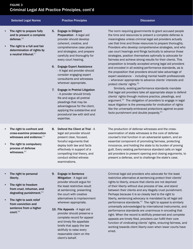#### FIGURE 3 Criminal Legal Aid Practice Principles, cont'd

#### Selected Legal Norms **Practice Principles Properties According Discussion**

- The right to prepare fully and to present a complete defense.<sup>56</sup>
- The right to a full and fair determination of rights by a neutral tribunal.<sup>57</sup>
- 5. Engage in Diligent Preparation - A legal aid provider should develop coherent, creative, and comprehensive case plans and strategies, and prepare carefully and thoroughly for every court hearing.
- 6. Engage Expert Assistance - A legal aid provider should consider engaging expert consultants and witnesses wherever appropriate.
- 7. Engage in Pretrial Litigation - A provider should timely file and argue all pretrial pleadings that may be advantageous for the client, applying the substantive and procedural law with skill and expertise.

8. Defend the Client at Trial - A legal aid provider should present clear, focused, forceful arguments that deploy both law and facts effectively in support of a

The norm requiring governments to grant accused people the time and resources to present a complete defense is meaningless unless criminal legal aid providers actually use that time and those resources to prepare thoroughly. Providers who develop comprehensive strategies, and who use court hearings and filings tactically to advance those strategies, position themselves optimally to advocate for fairness and achieve strong results for their clients. This proposition is broadly accepted among legal aid providers and encoded in all existing performance standards, as is the proposition that providers should take advantage of expert assistance – including mental health professionals – whenever appropriate to advance clients' interests and protect clients' rights.58

Similarly, existing performance standards mandate that legal aid providers take all appropriate steps to defend clients' rights through motions practice, pleadings, and argument.59 The obligation of providers to engage in legal issue litigation is the prerequisite for vindication of rights like the universally-embraced protections against ex-postfacto punishment and double jeopardy.<sup>60</sup>

- The right to confront and cross-examine prosecution witnesses and evidence. $61$
- The right to compulsory process of defense witnesses.<sup>62</sup>
	- compelling trial theory, and conduct skilled witness examinations.
- The production of defense witnesses and the crossexamination of state witnesses is the core of defense counsel's trial function in an adversarial system, and an essential component of promoting fairness, protecting innocence, and holding the state to its burden of proving guilt. Every existing performance standard calls on legal aid providers to present opening and closing arguments, to present a defense, and to challenge the state's case.

- The right to personal liberty.
- The right to freedom from cruel, inhuman, and degrading punishment.<sup>63</sup>
- The right to seek relief from conviction and sentence from a higher court.<sup>64</sup>
- 9. Engage in Sentence Mitigation - A legal aid provider should argue for the least restrictive result at sentencing, presenting the court with creative alternatives to imprisonment wherever appropriate.
- 10. File Appeals A legal aid provider should preserve a complete record for appeal and timely file appellate briefs that apply the law skillfully to raise every reasonable claim on the client's behalf.

Criminal legal aid providers who advocate for the least restrictive alternative at sentencing protect their clients' rights to liberty, ensure that clients are not deprived of their liberty without due process of law, and stand between their clients and any illegally cruel punishment. Perhaps because it is so closely tied to the right to liberty, sentencing advocacy is mandated by all legal aid performance standards.<sup>65</sup> The right to appeal is similarly universally acknowledged by international instruments, and performance standards are unanimous in encoding that right. When the record is skillfully preserved and complete appeals are timely filed, providers can fulfill their core function of vindicating clients' rights, ensuring fairness, and working towards client liberty even when lower courts have erred.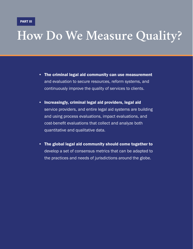### **How Do We Measure Quality?**

- The criminal legal aid community can use measurement and evaluation to secure resources, reform systems, and continuously improve the quality of services to clients.
- Increasingly, criminal legal aid providers, legal aid service providers, and entire legal aid systems are building and using process evaluations, impact evaluations, and cost-benefit evaluations that collect and analyze both quantitative and qualitative data.
- The global legal aid community should come together to develop a set of consensus metrics that can be adapted to the practices and needs of jurisdictions around the globe.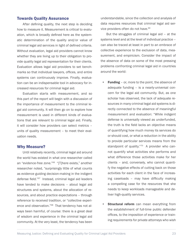#### Towards Quality Assurance

After defining quality, the next step is deciding how to measure it. Measurement is critical to evaluation, which is broadly defined here as the systematic determination of the quality and/or value of criminal legal aid services in light of defined criteria. Without evaluation, legal aid providers cannot know whether they are living up to their obligation to provide quality legal aid representation for their clients. Evaluation allows legal aid providers to set benchmarks so that individual lawyers, offices, and entire systems can continuously improve. Finally, evaluation can be an indispensable tool in advocacy for increased resources for criminal legal aid.

Evaluation starts with measurement, and so this part of the report will begin with a discussion of the importance of measurement to the criminal legal aid community. It will then go on to explore how measurement is used in different kinds of evaluations that are relevant to criminal legal aid. Finally, it will consider how providers can select metrics – units of quality measurement – to meet their evaluation needs.

#### Why Measure?

Until relatively recently, criminal legal aid around the world has existed in what one researcher called an "evidence-free zone."66 "[T]here exists," another researcher noted, "surprisingly little of what counts as evidence guiding decision-making in the indigent defense field."67 Instead, criminal legal aid leaders have tended to make decisions – about legal aid structures and systems, about the allocation of resources, and about practice expectations – through reference to received tradition, or "collective experience and observation."<sup>68</sup> That tendency has not always been harmful, of course: there is a great deal of wisdom and experience in the criminal legal aid community. At the very least, the tendency has been understandable, since the collection and analysis of data requires resources that criminal legal aid service providers often do not have.<sup>69</sup>

But the struggles of criminal legal aid – at the systems level and at the level of individual practice – can also be traced at least in part to an embrace of collective experience to the exclusion of data, measurement, and empiricism. Consider the impact of the absence of data on some of the most pressing problems confronting criminal legal aid in countries around the world:

- **Funding** or, more to the point, the absence of adequate funding – is a nearly-universal concern for the legal aid community. But, as one scholar has observed, the lack of adequate resources in many criminal legal aid systems is directly connected to the absence of meaningful measurement and evaluation: "While indigent defense is universally viewed as underfunded, the truth is the field lacks an objective means of quantifying how much money its services do or should cost, or what a reduction in the ability to provide particular services means from the standpoint of quality."<sup>70</sup> A provider who cannot quantify what activities she performs and what difference those activities make for her clients – and, conversely, who cannot quantify the negative effects of cutting back on those activities for each client in the face of increasing caseloads – may have difficulty making a compelling case for the resources that she needs to keep workloads manageable and deliver high-quality services.
- **Structural reform** can mean everything from the establishment of full-time public defender offices, to the imposition of experience or training requirements for private attorneys who wish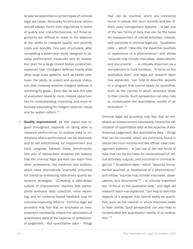to take be appointed in certain types of criminal legal aid cases. Advocates for structural reform almost always frame their arguments in terms of quality and cost-effectiveness, but those arguments are difficult to make in the absence of the ability to measure quality and quantify costs and benefits. One pair of scholars, after completing a seven-year study designed to develop performance measures and an evaluation plan for a large United States jurisdiction, explained that "[i]ndigent defense needs what other large scale systems, such as health care, have: the ability to collect and analyze indicators that measure whether indigent defense is achieving its goals… Every day we lack this type of evaluation leads to more missed opportunities for understanding, improving, and more effectively advocating for indigent defense needs and for system reform."71

Quality improvement, as this report has argued throughout, depends on being able to measure performance; to analyze data to understand where performance can be improved; and to set benchmarks for improvement and track progress towards those benchmarks. One pair of researchers analyzed the lessons that the criminal legal aid field can learn from other professions, like medicine and aviation, which have dramatically improved outcomes for clients by embracing data-driven quality assurance strategies: "[C]reating a data-driven culture of improvement requires that participants embrace data collection, error reporting, and an evidence-based feedback loop for outcome-improving reforms." Criminal legal aid providers may fear that an emphasis on measurement necessarily means the valorization of quantitative data at the expense of professional judgement. But quantitative data – things

that can be counted, which are commonly found in places like court records and law offices' case management systems – is just one of the two forms of data that can be the basis for measurement of critical activities, outputs, and outcomes in criminal legal aid. Qualitative data – which "describe the essential qualities or experience of a phenomenon" and whose "sources may include interviews, observations, and documents" – is critically important as a complement to hard numbers. "A focus on the qualitative side," one legal aid research team has explained, "can help to describe aspects of a program that cannot easily be quantified, such as the manner in which attorneys relate to their clients. Such perspective can also help to contextualize the quantitative results of an evaluation."72

Criminal legal aid providers may fear that an emphasis on measurement necessarily means the valorization of quantitative data at the expense of professional judgement. But quantitative data – things that can be counted, which are commonly found in places like court records and law offices' case management systems – is just one of the two forms of data that can be the basis for measurement of critical activities, outputs, and outcomes in criminal legal aid. $73$  Qualitative data – which "describe the essential qualities or experience of a phenomenon" and whose "sources may include interviews, observations, and documents $774 -$  is critically important too. "A focus on the qualitative side," one legal aid research team has explained, "can help to describe aspects of a program that cannot easily be quantified, such as the manner in which attorneys relate to their clients. Such perspective can also help to contextualize the quantitative results of an evaluation."75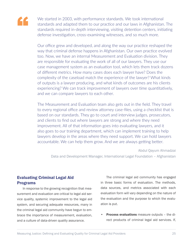

We started in 2003, with performance standards. We took international standards and adapted them to our practice and our laws in Afghanistan. The standards required in-depth interviewing, visiting detention centers, initiating defense investigation, cross-examining witnesses, and so much more.

Our office grew and developed, and along the way our practice reshaped the way that criminal defense happens in Afghanistan. Our own practice evolved too. Now, we have an internal Measurement and Evaluation division. They are responsible for evaluating the work of all of our lawyers. They use our case management system as an evaluation tool, which lets them track dozens of different metrics. How many cases does each lawyer have? Does the complexity of the caseload match the experience of the lawyer? What kinds of outputs is a lawyer producing, and what kinds of outcomes are his clients experiencing? We can track improvement of lawyers over time quantitatively, and we can compare lawyers to each other.

The Measurement and Evaluation team also gets out in the field. They travel to every regional office and review attorney case-files, using a checklist that is based on our standards. They go to court and interview judges, prosecutors, and clients to find out where lawyers are strong and where they need improvement. All of that information goes into evaluating lawyers, and it also goes to our training department, which can implement training to help lawyers develop in the areas where they need support. We can hold lawyers accountable. We can help them grow. And we are always getting better.

Abdul Qayum Ahmadzai Data and Development Manager, International Legal Foundation – Afghanistan

#### Evaluating Criminal Legal Aid Programs

In response to the growing recognition that measurement and evaluation are critical to legal aid service quality, systemic improvement to the legal aid system, and securing adequate resources, many in the criminal legal aid community have begun to embrace the importance of measurement, evaluation, and a culture of data-driven quality assurance.

The criminal legal aid community has engaged in three basic forms of evaluation. The methods, data sources, and metrics associated with each evaluation form will vary depending on the nature of the evaluation and the purpose to which the evaluation is put.

• Process evaluations measure outputs – the direct products of criminal legal aid services. If,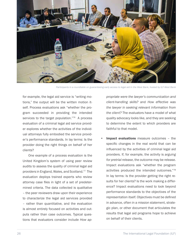

*Participants in a roundtable on guaranteeing early access to legal aid in the West Bank, hosted by ILF-West Bank*

for example, the legal aid service is "writing motions," the output will be the written motion itself. Process evaluations ask "whether the program succeeded in providing the intended services to the target population."<sup>76</sup> A process evaluation of a criminal legal aid service provider explores whether the activities of the individual attorneys fully embodied the service provider's performance standards. In lay terms: Is the provider doing the right things on behalf of her clients?

One example of a process evaluation is the United Kingdom's system of using peer review audits to assess the quality of criminal legal aid providers in England, Wales, and Scotland.77 The evaluation deploys trained experts who review attorney case files in light of a set of predetermined criteria. The data collected is qualitative – the peer reviewers draw upon their experience to characterize the legal aid services provided – rather than quantitative, and the evaluation is almost entirely focused on activities and outputs rather than case outcomes. Typical questions that evaluators consider include *How ap-* *propriate were the lawyer's communication and client-handling skills?* and *How effective was the lawyer in seeking relevant information from the client?* The evaluators have a model of what quality advocacy looks like, and they are seeking to determine the extent to which providers are faithful to that model.

Impact evaluations measure outcomes - the specific changes in the real world that can be influenced by the activities of criminal legal aid providers. If, for example, the activity is *arguing for pretrial release*, the outcome may be release. Impact evaluations ask "whether the program activities produced the intended outcomes."78 In lay terms: Is the provider getting the right results for her clients? Is the work making a difference? Impact evaluations need to look beyond performance standards to the objectives of the representation itself. Objectives must be defined in advance, often in a mission statement, strategic plan, or other document that articulates the results that legal aid programs hope to achieve on behalf of their clients.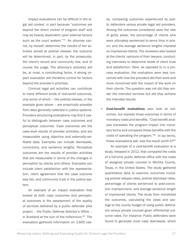Impact evaluations can be difficult in the legal aid context, in part because "outcomes are beyond the direct control of program staff and may be heavily dependent upon external factors such as the court system."<sup>79</sup> An attorney cannot, by herself, determine the results of her activities aimed at pretrial release: the outcome will be determined, in part, by the prosecutor, the client's record and community ties, and of course the judge. The attorney's activities will be, at most, a contributing factor. A strong impact evaluation will therefore control for factors beyond the provider's activities.

Criminal legal aid activities can contribute to many different kinds of real-world outcomes, only some of which – like pretrial release, in the example given above – are empirically provable from data generally collected in justice systems. Providers structuring evaluations may find it useful to distinguish between case outcomes and perceptual outcomes. Case outcomes are the case-level results of provider activities, and are measurable using objective and externally-verifiable data. Examples can include dismissals, convictions, and sentence lengths. Perceptual outcomes are the results of provider activities that are measurable in terms of the changes in perception by clients and others. Examples can include client satisfaction with the representation, client agreement that the case outcome was fair, and community trust in the justice system.

An example of an impact evaluation that looked at both case outcomes and perceptual outcomes is the assessment of the quality of services delivered by a public defender pilot project – the Public Defense Solicitor's Office – in Scotland at the turn of the millennium.<sup>80</sup> The evaluators gathered information on 2,600 cases, comparing outcomes experienced by public defenders versus private legal aid providers. Among the outcomes considered were the rate of guilty pleas; the percentage of clients who were ultimately sentenced to serve time in prison; and the average sentence lengths imposed on imprisoned clients. The reviewers also looked at the clients' opinions of their lawyers, conducting interviews to determine levels of client trust and satisfaction. Here, as opposed to in a process evaluation, the evaluators were less concerned with how the providers did their work and more concerned with the impact of the work on their clients: The question was not *did they render the intended services* but *did they achieve the intended results*.

Cost-benefit evaluations also look at outcomes, but express those outcomes in terms of monetary costs and benefits. "Cost-benefit analysis translates the program impact into monetary terms and compares these benefits with the costs of operating the program."81 In lay terms, these evaluations ask: was the result worth it? $82$ 

An example of a cost-benefit evaluation is a study, released in 2012, that compared the costs of a full-time public defense office with the costs of assigned private counsel in Wichita County, Texas, in the United States. The study gathered quantitative data to examine outcomes including pretrial release rates, pretrial dismissal rates, percentage of clients sentenced to post-conviction imprisonment, and average sentence length of imprisoned clients. The study then monetized the outcomes, calculating the costs and savings to the county budget of using public defenders versus private counsel given differential outcome rates. For instance: Public defenders were found to generate more case dismissals, which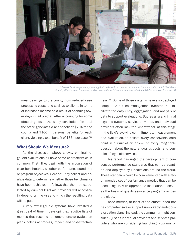

*ILF-West Bank lawyers are preparing their defense in a criminal case, under the mentorship of ILF-West Bank Country Director Nael Ghannam, and an international fellow, an experienced criminal defense lawyer from the UK*

meant savings to the county from reduced case processing costs, and savings to clients in terms of increased income as a result of spending fewer days in jail pretrial. After accounting for some offsetting costs, the study concluded: "In total the office generates a net benefit of \$204 to the county and \$160 in personal benefits for each client, yielding a total benefit of \$364 per case."<sup>83</sup>

#### What Should We Measure?

As the discussion above shows, criminal legal aid evaluations all have some characteristics in common. First: They begin with the articulation of clear benchmarks, whether performance standards or program objectives. Second: They collect and analyze data to determine whether those benchmarks have been achieved. It follows that the metrics selected by criminal legal aid providers will necessarily depend on the uses to which the resulting data will be put.

A very few legal aid systems have invested a great deal of time in developing exhaustive lists of metrics that respond to comprehensive evaluation plans looking at process, impact, and cost-effectiveness.84 Some of those systems have also deployed computerized case management systems that facilitate the easy entry, aggregation, and analysis of data to support evaluations. But, as a rule, criminal legal aid systems, service providers, and individual providers often lack the wherewithal, at this stage in the field's evolving commitment to measurement and evaluation, to collect every conceivable data point in pursuit of an answer to every imaginable question about the nature, quality, costs, and benefits of legal aid services.

This report has urged the development of consensus performance standards that can be adapted and deployed by jurisdictions around the world. Those standards could be complemented with a recommended set of performance metrics that can be used – again, with appropriate local adaptations – as the basis of quality assurance programs across the globe.

Those metrics, at least at the outset, need not be comprehensive or support unworkably ambitious evaluation plans. Instead, the community might consider – just as individual providers and services providers who are considering launching programs of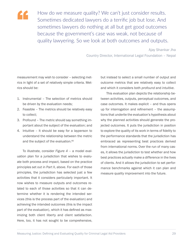

How do we measure quality? We can't just consider results. Sometimes dedicated lawyers do a terrific job but lose. And sometimes lawyers do nothing at all but get good outcomes because the government's case was weak, not because of quality lawyering. So we look at both outcomes and outputs.

> Ajay Shankar Jha Country Director, International Legal Foundation – Nepal

measurement may wish to consider – selecting metrics in light of a set of relatively simple criteria. Metrics should be:

- 1. Instrumental The selection of metrics should be driven by the evaluation needs;
- 2. Feasible The metrics should be relatively easy to collect;
- 3. Profound The metric should say something important about the subject of the evaluation; and
- 4. Intuitive It should be easy for a layperson to understand the relationship between the metric and the subject of the evaluation.<sup>85</sup>

To illustrate, consider *Figure 4* – a model evaluation plan for a jurisdiction that wishes to evaluate both process and impact, based on the practice principles set out in Part II, above. For each of those principles, the jurisdiction has selected just a few activities that it considers particularly important. It now wishes to measure outputs and outcomes related to each of those activities so that it can determine whether it is rendering the intended services (this is the process part of the evaluation) and achieving the intended outcomes (this is the impact part of the evaluation), which it has defined as maximizing both client liberty and client satisfaction. Here, too, it has not sought to be comprehensive,

but instead to select a small number of output and outcome metrics that are relatively easy to collect and which it considers both *profound* and *intuitive*.

This evaluation plan depicts the relationship between activities, outputs, perceptual outcomes, and case outcomes. It makes explicit – and thus opens up for interrogation and refinement – the assumptions that underlie the evaluation's hypothesis about why the planned activities should generate the projected outcomes. It puts the jurisdiction in position to explore the quality of its work in terms of fidelity to the performance standards that the jurisdiction has embraced as representing best practices derived from international norms. Over the run of many cases, it allows the jurisdiction to test whether and how best practices actually make a difference in the lives of clients. And it allows the jurisdiction to set performance benchmarks against which it can plan and measure quality improvement into the future.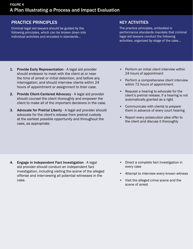#### PRACTICE PRINCIPLES

Criminal legal aid lawyers should be guided by the following principles, which can be broken down into individual activities and encoded in standards…

#### KEY ACTIVITIES

The practice principles, embodied in performance standards mandate that criminal legal aid lawyers conduct the following activities, organized by stage of the case…

- 1. Provide Early Representation A legal aid provider should endeavor to meet with the client at or near the time of arrest or initial detention, and before any interrogation; and should interview clients within 24 hours of appointment or assignment to their case.
- 2. Provide Client-Centered Advocacy A legal aid provider should counsel the client thoroughly and empower the client to make all of the important decisions in the case.
- 3. Advocate for Pretrial Liberty A legal aid provider should advocate for the client's release from pretrial custody at the earliest possible opportunity and throughout the case, as appropriate.
- Perform an initial client interview within 24 hours of appointment
- Perform a comprehensive client interview within 72 hours of appointment
- Request a hearing to advocate for the client's pretrial release, if a hearing is not automatically granted as a right
- Communicate with clients to prepare them in advance of every court hearing
- Report every prosecution plea offer to the client and discuss it thoroughly

- 4. Engage in Independent Fact Investigation A legal aid provider should conduct an independent fact investigation, including visiting the scene of the alleged offense and interviewing all potential witnesses in the case.
- Direct a complete fact investigation in every case
- Attempt to interview every known witness
- Visit the alleged crime scene and the scene of arrest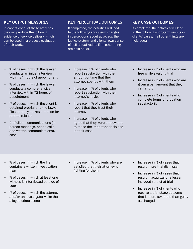#### KEY OUTPUT MEASURES

If lawyers conduct these activities, they will produce the following evidence of service delivery, which can be used in a process evaluation of their work…

#### KEY PERCEPTUAL OUTCOMES

If completed, the activities will lead to the following short-term changes in perceptions about advocacy, the justice system, and clients' own sense of self-actualization, if all other things are held equal…

#### KEY CASE OUTCOMES

If completed, the activities will lead to the following short-term results in clients' cases, if all other things are held equal…

- % of cases in which the lawyer conducts an initial interview within 24 hours of appointment
- % of cases in which the lawyer conducts a comprehensive interview within 72 hours of appointment
- % of cases in which the client is detained pretrial and the lawyer files or orally makes a motion for pretrial release
- # of client communications (inperson meetings, phone calls, and written communications)/ case
- Increase in % of clients who report satisfaction with the amount of time that their attorney spends with them
- Increase in % of clients who report satisfaction with their attorney's advice
- Increase in % of clients who report that they trust their attorney
- Increase in % of clients who agree that they were empowered to make the important decisions in their case
- Increase in % of clients who are free while awaiting trial
- Increase in % of clients who are given a bail amount that they can afford
- Increase in % of clients who complete terms of probation satisfactorily

- % of cases in which the file contains a written investigation plan
- % of cases in which at least one witness is interviewed outside of court
- % of cases in which the attorney and/or an investigator visits the alleged crime scene
- Increase in % of clients who are satisfied that their attorney is fighting for them
- Increase in % of cases that result in pre-trial dismissal
- Increase in % of cases that result in acquittal or a lesserincluded verdict at trial
- Increase in % of clients who receive a trial-stage outcome that is more favorable than guilty as charged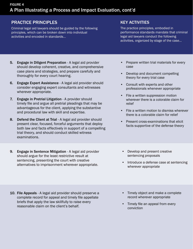#### PRACTICE PRINCIPLES

Criminal legal aid lawyers should be guided by the following principles, which can be broken down into individual activities and encoded in standards…

#### KEY ACTIVITIES

The practice principles, embodied in performance standards mandate that criminal legal aid lawyers conduct the following activities, organized by stage of the case…

- 5. Engage in Diligent Preparation A legal aid provider should develop coherent, creative, and comprehensive case plans and strategies, and prepare carefully and thoroughly for every court hearing.
- 6. Engage Expert Assistance A legal aid provider should consider engaging expert consultants and witnesses wherever appropriate.
- 7. Engage in Pretrial Litigation A provider should timely file and argue all pretrial pleadings that may be advantageous for the client, applying the substantive and procedural law with skill and expertise.
- 8. Defend the Client at Trial A legal aid provider should present clear, focused, forceful arguments that deploy both law and facts effectively in support of a compelling trial theory, and should conduct skilled witness examinations.
- 9. Engage in Sentence Mitigation A legal aid provider should argue for the least restrictive result at sentencing, presenting the court with creative alternatives to imprisonment wherever appropriate.
- Prepare written trial materials for every case
- Develop and document compelling theory for every trial case
- Consult with experts and other professionals whenever appropriate
- File a written suppression motion wherever there is a colorable claim for relief
- File a written motion to dismiss wherever there is a colorable claim for relief
- Present cross-examinations that elicit facts supportive of the defense theory
- Develop and present creative sentencing proposals
- Introduce a defense case at sentencing wherever appropriate

- 10. File Appeals A legal aid provider should preserve a complete record for appeal and timely file appellate briefs that apply the law skillfully to raise every reasonable claim on the client's behalf.
- Timely object and make a complete record wherever appropriate
- Timely file an appeal from every conviction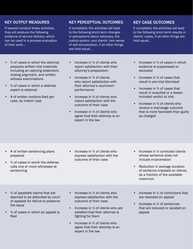#### KEY OUTPUT MEASURES

If lawyers conduct these activities, they will produce the following evidence of service delivery, which can be used in a process evaluation of their work…

KEY PERCEPTUAL OUTCOMES

If completed, the activities will lead to the following short-term changes in perceptions about advocacy, the justice system, and clients' own sense of self-actualization, if all other things are held equal…

#### KEY CASE OUTCOMES

If completed, the activities will lead to the following short-term results in clients' cases, if all other things are held equal…

- % of cases in which the attorney prepares written trial materials including an opening statement, closing argument, and written witness examinations
- % of cases in which a defense expert is retained
- # of written motions filed per case, by motion type
- Increase in % of clients who report satisfaction with their attorney's preparation
- Increase in % of clients who report satisfaction with their attorney's courtroom performance
- Increase in % of clients who report satisfaction with the outcome of their case
- Increase in % of clients who agree that their attorney is an expert in the law
- Increase in % of cases in which evidence is suppressed or excluded
- Increase in % of cases that result in pre-trial dismissal
- Increase in % of cases that result in acquittal or a lesserincluded verdict at trial
- Increase in % of clients who receive a trial-stage outcome that is more favorable than guilty as charged

- # of written sentencing plans prepared
- % of cases in which the defense calls one or more witnesses at sentencing
- Increase in % of clients who express satisfaction with the outcome of their case
- Increase in % convicted clients whose sentence does not include incarceration
- Reduction in average duration of sentence imposed on clients, as a fraction of the available maximum

- % of appellate claims that are deemed to be defaulted by court of appeals for failure to preserve the issue
- % of cases in which an appeal is filed
- Increase in % of clients who express satisfaction with the outcome of their case
- Increase in % of clients who are satisfied that their attorney is fighting for them
- Increase in % of clients who agree that their attorney is an expert in the law
- Increase in % of convictions that are reversed on appeal
- Increase in % of sentences that are reduced or vacated on appeal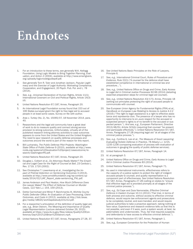## **Endnotes**

- 1. For an introduction to these terms, *see generally* W.K. Kellogg Foundation, *Using Logic Models to Bring Together Planning, Evaluation, and Action 2* (2004), available at http://www.smartgivers. org/uploads/logicmodelguidepdf.pdf.
- 2. *See generally* Tom R. Tyler and Jonathan Jackson, *Popular Legitimacy and the Exercise of Legal Authority: Motivating Compliance, Cooperation, and Engagement*, 20 Psych. Pub. Pol. and L. 78 (2014).
- 3. *See, e.g.*, Universal Declaration of Human Rights, Article 11(1); International Covenant on Civil and Political Rights, Article 14(3) (d).
- 4. United Nations Resolution 67/187, Annex, Paragraph 20.
- 5. An International Legal Foundation survey found that 153 out of 195 States surveyed grant the right to free legal aid to accused people in at least some cases. Survey on file with author.
- 6. *Aras v. Turkey* (No. 2), No. 15065/07, 18 November 2014, para. 40.
- 7. Researchers and the legal aid community have a great deal of work to do to measure quality and connect strong service provision to strong outcomes. Unfortunately, virtually all of the published research linking attorney activities to case outcomes appears to come from the United States and the United Kingdom. The need to spur research on quality defense processes and outcomes around the world is part of the reason for this report.
- 8. Bill Luchansky, *The Public Defense Pilot Projects: Washington State Office of Public Defense* 9 (2010), *available at* http://www. ncids.org/systems%20evaluation%20project/caseoutcome/research/washingtonPD.pdf.
- 9. United Nations Resolution 67/187, Annex, Paragraph 20.
- 10. Douglas L. Colbert et al., *Do Attorneys Really Matter? The Empirical and Legal Case for the Right of Counsel at Bail*, 23 Cardozo L. Rev. 1719, 1720 (2002).
- 11. See Christopher T. Lowenkamp et al., *Investigating the Impact of Pretrial Detention on Sentencing Outcomes* 3 (2013), available at http://www.arnoldfoundation.org/wp-content/uploads/2014/02/LJAF\_Report\_state-sentencing\_FNL.pdf.
- 12. James Anderson and Paul Heaton, *How Much Difference Does the Lawyer Make? The Effect of Defense Counsel on Murder Cases*, 122 Yale L.J. 154, 159 (2013).
- 13. Dottie Carmichael and Miner P. Barchmanks III, *Wichita County Public Defender Office: An Evaluation of Case Processing, Client Outcomes, and Costs* iii (2012), available at http://tidc.texas. gov/media/18620/wichitapdostudy101212.pdf.
- 14. For a researcher's articulation of the definition of quality legal aid, *see, e.g.*, Brian Ostrom, *The Meaning and Importance of Quality Legal Representation* (Lecture delivered October 29, 2015) *available at* https://www.ils.ny.gov/files/videos/Quality%20Conference/Day%201%20Brian%20Ostrom.mp4.
- 15. United Nations Resolution 67/187, Annex, Paragraphs 27-28, 37.
- 16. *See* United Nations Basic Principles on the Role of Lawyers, Principle 6.
- 17. *See, e.g.*, International Criminal Court, *Rules of Procedure and Evidence*, Rule 22(1) ("A counsel for the defence shall have established competence in international or criminal law and procedure…").
- 18. *See, e.g.*, United Nations Office on Drugs and Crime, *Early Access to Legal Aid in Criminal Justice Processes* 92-96 (2014) (detailing essential preparation steps for criminal legal aid counsel).
- 19. *See, e.g.*, United Nations Resolution 43/173, Annex, Principle 18 (setting out principles protecting the right of accused people to communicate with counsel.
- 20. *See* European Union Agency for Fundamental Rights (FRA) *et al., Handbook on European Law Relating to Access to Justice* 4.2.2 (2016) ("The right to legal assistance is a right to effective assistance and representa¬tion. The presence of a lawyer who has no opportunity to intervene to en¬sure respect for the accused or suspected person's rights is of no benefit to the accused or suspected person."). *And see, e.g.*, European Parliament, Directive 2013/48/EU, Article 3(3)(b) (requiring that counsel "be present and participate effectively."); United Nations Resolution 67/187, Annex, Paragraphs 27-28 (requiring legal aid "at all stages of the criminal justice process.").
- 21. *See, e.g.*, Cynthia G. Lee *et al., The Measure of Good Lawyering: Evaluating Holistic Defense in Practice*, 78 Albany L.J. 1215, 1235-1236 (comparing evaluation of process with evaluation of outcomes in gauging the quality of public defense services).
- 22. United Nations Resolution 67/187, Annex, Paragraph 14.
- 23. *Id*. at paragraph 3.
- 24. United Nations Office on Drugs and Crime, *Early Access to Legal Aid in Criminal Justice Processes* 83 (2014).
- 25. United Nations Resolution 67/187, Annex, Paragraph 71.
- 26. As used in international instruments, *effectiveness* refers to the capacity of a justice system to protect the right of indigent accused people to counsel, and *quality* representation is a component part of effectiveness. *See* United Nations Resolution 67/187, Annex, Paragraphs 27-28 (calling on states to "ensure that effective legal aid is provided promptly at all stages of the criminal justice process.").
- 27. *See, e.g.*, Ed Cape and Zaza Namoradze, *Effective Criminal Defence in Eastern Europe* 10-11 (2012) ("Fair trial, in terms of both process and outcome, without access to effective criminal defence, would require law enforcement agents and prosecutors to be completely neutral, and even-handed, and would require judicial authorities to take a proactive approach, taking nothing at face value. Experience and research evidence tells us that this is not possible, and even if it were, such a system would, at best, be paternalistic and undemocratic. Thus, fair trial requires suspects and defendants to have access to effective criminal defence.").
- 28. United Nations Resolution 67/187, Annex, Paragraph 1.
- 29. *See, e.g.*, European Convention for the Protection of Human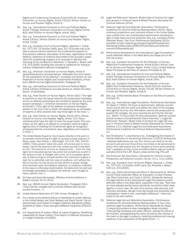Rights and Fundamental Freedoms, Article 5(3)-(4); American Convention on Human Rights, Article 7(5)-(6); African Charter on Human and Peoples' Rights, Article 6..

- 30. *See, e.g.*, International Covenant on Civil and Political Rights, Article 14(3)(g); American Convention on Human Rights, Article 8(3); Arab Charter on Human Rights, Article 16(6).
- 31. *See, e.g.*, International Covenant on Civil and Political Rights, Article 14(3)(c); African Charter on Human and Peoples' Rights, Article  $7(1)(d)$ .
- 32. *See, e.g.*, European Court of Human Rights, *Dayanan v. Turkey*, No. 7377/03, 13 October 2009, para. 32 ("[C]ounsel has to be able to secure without restriction the fundamental aspects of that person's defence: discussion of the case, organisation of the defence, collection of evidence favourable to the accused, preparation for questioning, support of an accused in distress and checking of the conditions of detention."); *Rompilla v. Beard*, 545 U.S. 374 (2005) (holding that counsel is ineffective for failing to conduct independent defense investigation).
- 33. *See, e.g.*, American Convention on Human Rights, Article 8 (guaranteeing every accused person "adequate time and means for the preparation of his defense"); European Convention for the Protection of Human Rights and Fundamental Freedoms, Article 6(3); ASEAN Human Rights Declaration, Paragraph 20.
- 34. *See, e.g.*, International Covenant on Civil and Political Rights Article 14(3)(e) (entitling an accused person to "obtain the attendance" of witnesses).
- 35. *See, e.g.*, Arab Charter on Human Rights, Article 16(5) ("The right to examine or have his lawyer examine the prosecution witnesses and to on defense according to the conditions applied to the prosecution witnesses."); American Convention on Human Rights, Article 8(f) ("[T]he right of the defense to examine witnesses present in the court and to obtain the appearance, as witnesses, of experts or other persons who may throw light on the facts.").
- 36. *See, e.g.*, Arab Charter on Human Rights, Article 16(7); African Charter on Human and Peoples' Rights, Article 7(1) ("Every individual shall have the right to have his cause heard. This comprises: (a) the right to an appeal to competent national organs against acts of violating his fundamental rights as recognized and guaranteed by conventions, laws, regulations and customs in force.").
- 37. The United States Supreme Court spoke directly to this point in its decision entrenching the right to counsel at state expense in felony cases. *See Gideon v. Wainwright*, 372 U.S. 335, 344-45 (1963) ("[A]ny person haled into court, who is too poor to hire a lawyer, cannot be assured a fair trial unless counsel is provided for him. This seems to us to be an obvious truth…. Even the intelligent and educated layman has small and sometimes no skill in the science of law. If charged with crime, he is incapable, generally, of determining for himself whether the indictment is good or bad. He is unfamiliar with the rules of evidence. Left without the aid of counsel, he may be put on trial without a proper charge, and convicted upon incompetent evidence, or evidence irrelevant to the issue or otherwise inadmissible. He lacks both the skill and knowledge adequately to prepare his defense, even though he have a perfect one.").
- 38. Ed Cape and Zaza Namoradze, *Effective Criminal Defence in Eastern Europe* 10-11 (2012.
- 39. *See, e.g.*, ASEAN Human Rights Declaration, Paragraph 20(1) ("Every person charged with a criminal offense shall be presumed innocent…").
- 40. United Nations Resolution 67/187, Annex, Paragraph 71.
- 41. For a study of the positive effects of standards on public defense in the United States, see Scott Wallace and David Carroll, *The Implementation and Impact of Indigent Defense Standards* (2003), available at https://www.ncjrs.gov/pdffiles1/nij/grants/205023. pdf.
- 42. U.S. Department of Justice, Office of Justice Programs, *Redefining Leadership for Equal Justice: Final Report of National Symposium on Indigent Defense* 14 (2000).
- 43. Legal Aid Reformers' Network, *Model Code of Conduct for Legal Aid Lawyers in Criminal Cases & Model Practice Standards for Criminal Defense* (2014).
- 44. National Legal Aid and Defender Association, *Performance Guidelines for Criminal Defense Representation* (2010). Many individual jurisdictions and individual offices in the United States have crafted their own individualized performance standards in light of state laws and local practices. *See, e.g.*, Louisiana Public Defender Board, *Trial Court Performance Standards* (2010), available at http://lpdb.la.gov/Supporting%20Practitioners/ Standards/txtfiles/pdfs/LPDB%20Trial%20Court%20Performance%20Standards.pdf.
- 45. Performance Standards for the International Legal Foundation's public defender offices in the West Bank and Nepal are on file with the author.
- 46. *See, e.g.*, European Convention for the Protection of Human Rights and Fundamental Freedoms, Article 6(3)(c); African Charter on Human and Peoples' Rights, Article 7(1)(c); United Nations Basic Principles on the Role of Lawyers, Principles 8, 22.
- 47. *See, e.g.*, International Covenant on Civil and Political Rights, Article 14(3)(g); American Convention on Human Rights, Article 8(3); Arab Charter on Human Rights, Article 16(6).
- 48. *See, e.g.*, European Convention for the Protection of Human Rights and Fundamental Freedoms, Article 5(3)-(4); American Convention on Human Rights, Article 7(5)-(6); African Charter on Human and Peoples' Rights, Article 6.
- 49. *See, e.g.*, United Nations Basic Principles on the Role of Lawyers, Principle 15.
- 50. *See, e.g.*, International Legal Foundation, *Performance Standards for Nepal* 2 ("Within 24 hours of appointment, defense counsel must consult with the client and advise the client of the charges filed against him/her, the information used by the prosecution to support the charges, the court procedures and his/her bail status… Within 72 hours after the first consultation, defense counsel should conduct a Comprehensive Client Interview."); Legal Aid Reformers' Network, *Model Code of Conduct for Legal Aid Lawyers in Criminal Cases & Model Practice Standards for Criminal Defense* 1.3.1; National Legal Aid and Defenders Association, *Performance Guidelines for Criminal Defense Representation* 2.1.
- 51. *See* Christopher T. Lowenkamp *et al*., *Investigating the Impact of Pretrial Detention on Sentencing Outcomes* 3 (2013) (finding that "detained defendants are over four times more likely to be sentenced to jail and over three times more likely to be sentenced to prison than defendants who are released at some point pending trial.") *availabl*e *at* http://www.arnoldfoundation.org/wp-content/ uploads/2014/02/LJAF\_Report\_state-sentencing\_FNL.pdf.
- 52. *See* American Bar Association, *Standards for Criminal Justice: Prosecution and Defense Function*, 3d ed., 4.5.1, 4.5.2 (1993).
- 53. *See, e.g.*, European Court of Human Rights, *Dayanan v. Turkey*, No. 7377/03, 13 October 2009, para. 32; *Rompilla v. Beard*, 545 U.S. 374 (2005).
- 54. *See, e.g.*, Dottie Carmichael and Miner P. Barchmanks III, *Wichita County Public Defender Office: An Evaluation of Case Processing, Client Outcomes, and Costs* iii (2012). Ghadanfar Kamanji, the legal director at the International Legal Foundation's public defender office in the West Bank, explained it this way: "Now that we have adopted performance standards, we perform field investigation in every case. We visit crime scenes, take pictures, and interview witnesses. We get more dismissals and acquittals now. Investigation makes a real, meaningful difference." (Interview notes on file with author).
- 55. National Legal Aid and Defenders Association, *Performance Guidelines for Criminal Defense Representation* 4.1(a); International Legal Foundation, *Performance Standards for Nepal* 2 (requiring providers to take investigation steps including "interviewing witnesses and police officers, visiting the scene of the incident, photographing the scene as well as any injuries to the client or damage to property, collecting evidence and viewing evidence in the possession of the government…").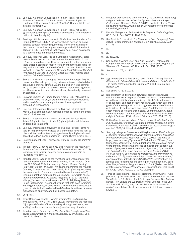- 56. *See, e.g.*, American Convention on Human Rights, Article 8; European Convention for the Protection of Human Rights and Fundamental Freedoms, Article 6(3); ASEAN Human Rights Declaration, Paragraph 20.
- 57. *See, e.g.*, American Convention on Human Rights, Article 8(1) (guaranteeing every person the right to a hearing for the determination of his or her rights).
- 58. *See* Legal Aid Reformers' Network, *Model Practice Standards for Criminal Defense* 2.1.1. ("The lawyer should develop an active defence strategy for handling the case which s/he explains to the client at the earliest appropriate stage and which the client agrees."); 2.1.6 (suggesting that lawyers seek expert assistance as a source of learning about the case).
- 59. *See, e.g.*, National Legal Aid and Defenders Association, *Performance Guidelines for Criminal Defense Representation* 5.1(a) ("Counsel should consider filing an appropriate motion whenever there exists a good-faith reason to believe that the applicable law may entitle the defendant to relief which the court has discretion to grant."); Legal Aid Reformers' Network, *Model Code of Conduct for Legal Aid Lawyers in Criminal Cases & Model Practice Standards for Criminal Defense* 2.4.5.
- 60. *See, e.g.*, ASEAN Human Rights Declaration, Paragraph 20 ("No person shall be held guilty of any criminal offense… which did not constitute a criminal offense… at the time when it was committed"; "No person shall be liable to be tried or punished again for an offence for which he or she has already been finally convicted or acquitted…").
- 61. *See* Arab Charter on Human Rights, Article 16(5) ("The right to examine or have his lawyer examine the prosecution witnesses and to on defense according to the conditions applied to the prosecution witnesses.").
- 62. *See, e.g.*, International Covenant on Civil and Political Rights Article 14(3)(e) (entitling an accused person to "obtain the attendance" of witnesses).
- 63. *See, e.g.*, International Covenant on Civil and Political Rights Article 9 (right to liberty), Article 7 (right against cruel, inhuman, or degrading treatment);
- 64. *See, e.g.*, International Covenant on Civil and Political Rights Article 14(5) ("Everyone convicted of a crime shall have the right to his conviction and sentence being reviewed by a higher tribunal according to law."); Arab Charter on Human Rights, Article 16(7).
- 65. *See* International Legal Foundation, *General Standards of Performance* 7.
- 66. Michael Tonry, *Evidence, Ideology, and Politics in the Making of American Criminal Justice Policy*, 42 Crime and Justice 1 (2013) (characterizing indigent defense systems as operating in an "evidence-free zone.").
- 67. Jennifer Laurin, *Gideon by the Numbers: The Emergence of Evidence-Based Practice in Indigent Defense*, 12 Oh. State J. Crim. Law 325, 334 (2015). And *see, e.g.*, Cara H. Drinan, *Getting Real About Gideon: The Next Fifty Years of Enforcing the Right to Counsel*, 70 Wash. & Lee L. Rev. 1309, 1322 (2013) (describing the ways in which "defenders operated below the data radar") (internal quotation omitted); Marea Beeman, *Using Data to Sustain and Improve Public Defense Programs* 1 (2012) *available at* http://texaswcl.tamu.edu/reports/2012\_JMI\_Using\_Data\_in\_ Public\_Defense.pdf ("Despite the value that data have for improving indigent defense, relatively little is known nationally about the types of data typically collected by defenders, how these data are managed and analyzed, and how best to use data.").
- 68. *Id*. at 336.
- 69. Jenny Roberts & Ronald F. Wright, *Training for Bargaining*, 57 Wm. & Mary L. Rev. 1445, 1489 (2016) (bemoaning the fact that "[i]ndigent defender offices – dealing with high workloads, low staffing, and constant underfunding – collect very little data.").
- 70. Jennifer Laurin, *Gideon by the Numbers: The Emergence of Evidence-Based Practice in Indigent Defense*, 12 Oh. State J. Crim. Law 325, 336 (2015).
- 71. Margaret Gressens and Daryl Atkinson, *The Challenge: Evaluating Indigent Defense: North Carolina Systems Evaluation Project Performance Measures Guide* 1 (2012), available at http://www. ncids.org/Systems%20Evaluation%20Project/performancemeasures/PM\_guide.pdf.
- 72. Pamela Metzger and Andrew Guthrie Ferguson, *Defending Data*, 88 S. Cal. L. Rev. 1057, 1110 (2015).
- 73. *See* Cynthia G. Lee et al., *The Measure of Good Lawyering: Evaluating Holistic Defense in Practice*, 78 Albany L.J. 1215, 1234  $(2015).$
- 74. *Id*.
- 75. *Id*.
- 76. *Id*. at 1235.
- 77. *See generally* Avrom Sherr and Alan Paterson, *Professional Competence, Peer Review and Quality Assurance in England and Wales and in Scotland*, 45 Alberta L. Rev. 151 (2008).
- 78. *See* supra n. 73, p. 1236.
- 79. *Id*.
- 80. *generally* Cyrus Tata et al., *Does Mode of Delivery Make a Difference to Criminal Case Outcomes and Clients' Satisfaction? The Public Defence Solicitor Experiment*, 2004 Criminal Law Review 120.
- 81. *See supra* n. 73, p. 1236.
- 82. It is important to distinguish between cost-benefit analysis, which monetizes all aspects of the equation and therefore leaves open the possibility of compromising critical goals in the name of cheapness, and cost-effectiveness analysis, which takes the goals of criminal legal aid – including the vindication of inalienable rights – to be fixed, and only seeks "to determine the least costly means of realizing those goals." Jennifer Laurin, *Gideon by the Numbers: The Emergence of Evidence-Based Practice in Indigent Defense*, 12 Oh. State J. Crim. Law 325, 364 (2015).
- 83. Dottie Carmichael and Miner P. Barchmanks III, *Wichita County Public Defender Office: An Evaluation of Case Processing, Client Outcomes, and Costs iii* (2012) available at http://tidc.texas.gov/ media/18620/wichitapdostudy101212.pdf.
- 84. *See, e.g.*, Margaret Gressens and Daryl Atkinson, *The Challenge: Evaluating Indigent Defense: North Carolina Systems Evaluation Project Performance Measures Guide* 1 (2012), *available at*  http://www.ncids.org/Systems%20Evaluation%20Project/performancemeasures/PM\_guide.pdf (charting the results of seven years of study and listing hundreds of metrics that support evaluation of progress towards dozens of objectives); Ziyad Hopkins, *The Committee for Public Counsel Services Answering Gideon's Call Project: Best Practices, Objectives, and Performance Indicators* (2014), available at https://www.publiccounsel.net/ cfo/wp-content/uploads/sites/8/2014/12/Best-Practices-Objectives-and-Performance-Indicators.pdf; Marea Beeman, *Basic Data Every Defender Program Needs to Track* (2014), *available at* http://www.nlada.org/sites/default/files/pictures/BASIC%20 DATA%20TOOLKIT%2010-27-14%20Web.pdf.
- 85. Three of these criteria feasible, profound, and intuitive were proposed by Andrew Davies, the Director of Research at the New York State (U.S.A.) Office of Indigent Legal Services. See Andrew Davies, How Should the We Track Criminal Defense in the USA and Beyond? (2016), blog post available at https://www.ils. ny.gov/content/how-should-we-track-criminal-defense-usa-andbeyond-0.